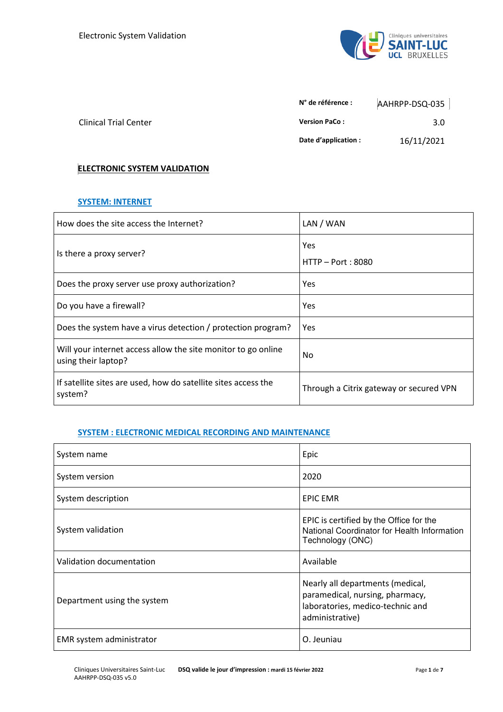

|                              | N° de référence :    | AAHRPP-DSQ-035 |
|------------------------------|----------------------|----------------|
| <b>Clinical Trial Center</b> | <b>Version PaCo:</b> | 3.0            |
|                              | Date d'application : | 16/11/2021     |

# **ELECTRONIC SYSTEM VALIDATION**

#### **SYSTEM: INTERNET**

| How does the site access the Internet?                                               | LAN / WAN                               |
|--------------------------------------------------------------------------------------|-----------------------------------------|
| Is there a proxy server?                                                             | Yes<br>HTTP – Port: 8080                |
| Does the proxy server use proxy authorization?                                       | Yes                                     |
| Do you have a firewall?                                                              | Yes                                     |
| Does the system have a virus detection / protection program?                         | Yes                                     |
| Will your internet access allow the site monitor to go online<br>using their laptop? | No.                                     |
| If satellite sites are used, how do satellite sites access the<br>system?            | Through a Citrix gateway or secured VPN |

# **SYSTEM : ELECTRONIC MEDICAL RECORDING AND MAINTENANCE**

| System name                 | Epic                                                                                                                       |
|-----------------------------|----------------------------------------------------------------------------------------------------------------------------|
| System version              | 2020                                                                                                                       |
| System description          | <b>EPIC EMR</b>                                                                                                            |
| System validation           | EPIC is certified by the Office for the<br>National Coordinator for Health Information<br>Technology (ONC)                 |
| Validation documentation    | Available                                                                                                                  |
| Department using the system | Nearly all departments (medical,<br>paramedical, nursing, pharmacy,<br>laboratories, medico-technic and<br>administrative) |
| EMR system administrator    | O. Jeuniau                                                                                                                 |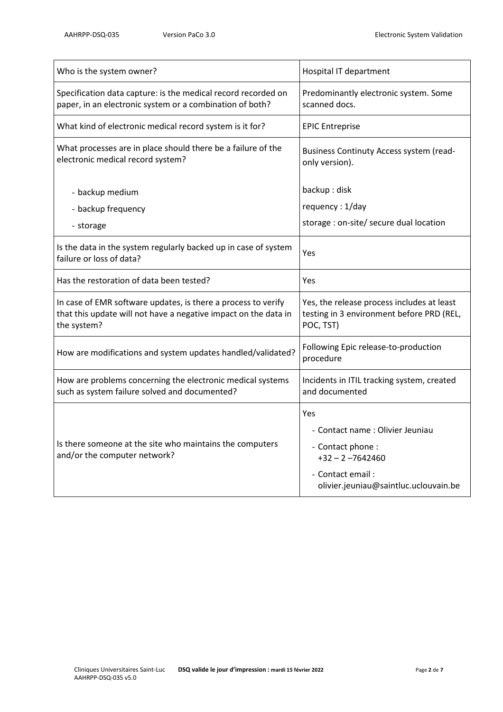| Who is the system owner?                                                                                                                        | Hospital IT department                                                                                                                           |
|-------------------------------------------------------------------------------------------------------------------------------------------------|--------------------------------------------------------------------------------------------------------------------------------------------------|
| Specification data capture: is the medical record recorded on<br>paper, in an electronic system or a combination of both?                       | Predominantly electronic system. Some<br>scanned docs.                                                                                           |
| What kind of electronic medical record system is it for?                                                                                        | <b>EPIC Entreprise</b>                                                                                                                           |
| What processes are in place should there be a failure of the<br>electronic medical record system?                                               | Business Continuty Access system (read-<br>only version).                                                                                        |
| - backup medium                                                                                                                                 | backup: disk                                                                                                                                     |
| - backup frequency                                                                                                                              | requency: 1/day                                                                                                                                  |
| - storage                                                                                                                                       | storage : on-site/ secure dual location                                                                                                          |
| Is the data in the system regularly backed up in case of system<br>failure or loss of data?                                                     | Yes                                                                                                                                              |
| Has the restoration of data been tested?                                                                                                        | Yes                                                                                                                                              |
| In case of EMR software updates, is there a process to verify<br>that this update will not have a negative impact on the data in<br>the system? | Yes, the release process includes at least<br>testing in 3 environment before PRD (REL,<br>POC, TST)                                             |
| How are modifications and system updates handled/validated?                                                                                     | Following Epic release-to-production<br>procedure                                                                                                |
| How are problems concerning the electronic medical systems<br>such as system failure solved and documented?                                     | Incidents in ITIL tracking system, created<br>and documented                                                                                     |
| Is there someone at the site who maintains the computers<br>and/or the computer network?                                                        | Yes<br>- Contact name : Olivier Jeuniau<br>- Contact phone:<br>$+32 - 2 - 7642460$<br>- Contact email :<br>olivier.jeuniau@saintluc.uclouvain.be |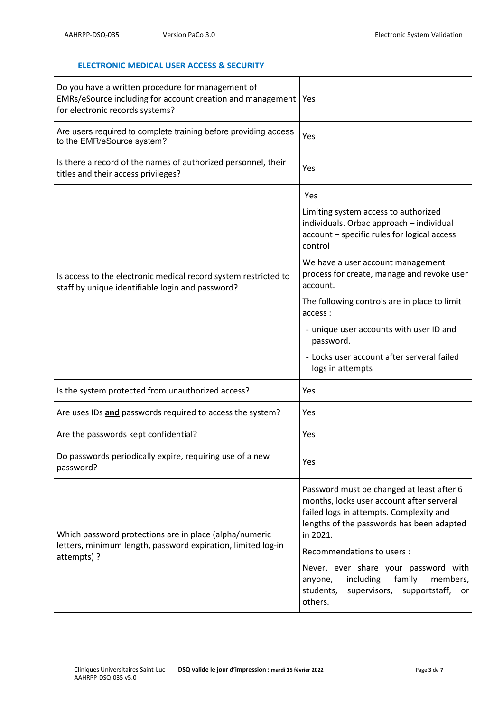# **ELECTRONIC MEDICAL USER ACCESS & SECURITY**

| Do you have a written procedure for management of<br>EMRs/eSource including for account creation and management<br>for electronic records systems? | Yes                                                                                                                                                                                                                                                                                                                                                                                                                                   |
|----------------------------------------------------------------------------------------------------------------------------------------------------|---------------------------------------------------------------------------------------------------------------------------------------------------------------------------------------------------------------------------------------------------------------------------------------------------------------------------------------------------------------------------------------------------------------------------------------|
| Are users required to complete training before providing access<br>to the EMR/eSource system?                                                      | Yes                                                                                                                                                                                                                                                                                                                                                                                                                                   |
| Is there a record of the names of authorized personnel, their<br>titles and their access privileges?                                               | Yes                                                                                                                                                                                                                                                                                                                                                                                                                                   |
| Is access to the electronic medical record system restricted to<br>staff by unique identifiable login and password?                                | Yes<br>Limiting system access to authorized<br>individuals. Orbac approach - individual<br>account - specific rules for logical access<br>control<br>We have a user account management<br>process for create, manage and revoke user<br>account.<br>The following controls are in place to limit<br>access:<br>- unique user accounts with user ID and<br>password.<br>- Locks user account after serveral failed<br>logs in attempts |
| Is the system protected from unauthorized access?                                                                                                  | Yes                                                                                                                                                                                                                                                                                                                                                                                                                                   |
| Are uses IDs and passwords required to access the system?                                                                                          | Yes                                                                                                                                                                                                                                                                                                                                                                                                                                   |
| Are the passwords kept confidential?                                                                                                               | Yes                                                                                                                                                                                                                                                                                                                                                                                                                                   |
| Do passwords periodically expire, requiring use of a new<br>password?                                                                              | Yes                                                                                                                                                                                                                                                                                                                                                                                                                                   |
| Which password protections are in place (alpha/numeric<br>letters, minimum length, password expiration, limited log-in<br>attempts) ?              | Password must be changed at least after 6<br>months, locks user account after serveral<br>failed logs in attempts. Complexity and<br>lengths of the passwords has been adapted<br>in 2021.<br>Recommendations to users :<br>Never, ever share your password with<br>family<br>including<br>members,<br>anyone,<br>students,<br>supervisors,<br>supportstaff,<br>or<br>others.                                                         |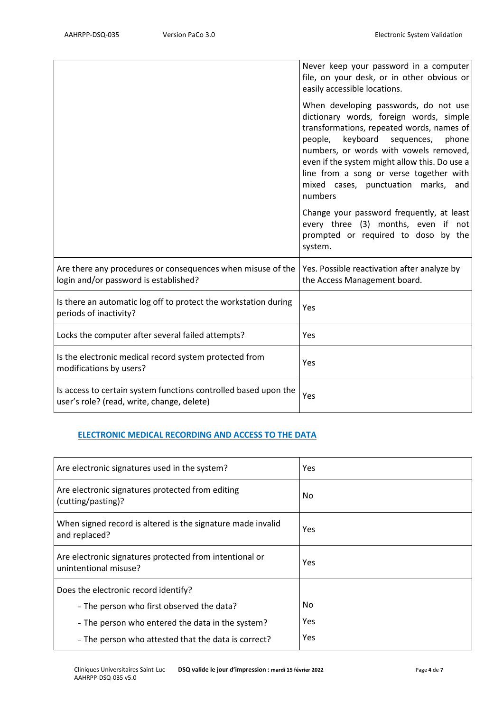|                                                                                                               | Never keep your password in a computer<br>file, on your desk, or in other obvious or<br>easily accessible locations.                                                                                                                                                                                                                                                   |
|---------------------------------------------------------------------------------------------------------------|------------------------------------------------------------------------------------------------------------------------------------------------------------------------------------------------------------------------------------------------------------------------------------------------------------------------------------------------------------------------|
|                                                                                                               | When developing passwords, do not use<br>dictionary words, foreign words, simple<br>transformations, repeated words, names of<br>keyboard<br>people,<br>sequences,<br>phone<br>numbers, or words with vowels removed,<br>even if the system might allow this. Do use a<br>line from a song or verse together with<br>mixed cases, punctuation marks,<br>and<br>numbers |
|                                                                                                               | Change your password frequently, at least<br>every three (3) months, even if not<br>prompted or required to doso by the<br>system.                                                                                                                                                                                                                                     |
| Are there any procedures or consequences when misuse of the<br>login and/or password is established?          | Yes. Possible reactivation after analyze by<br>the Access Management board.                                                                                                                                                                                                                                                                                            |
| Is there an automatic log off to protect the workstation during<br>periods of inactivity?                     | Yes                                                                                                                                                                                                                                                                                                                                                                    |
| Locks the computer after several failed attempts?                                                             | Yes                                                                                                                                                                                                                                                                                                                                                                    |
| Is the electronic medical record system protected from<br>modifications by users?                             | Yes                                                                                                                                                                                                                                                                                                                                                                    |
| Is access to certain system functions controlled based upon the<br>user's role? (read, write, change, delete) | Yes                                                                                                                                                                                                                                                                                                                                                                    |

#### **ELECTRONIC MEDICAL RECORDING AND ACCESS TO THE DATA**

| Are electronic signatures used in the system?                                    | Yes |
|----------------------------------------------------------------------------------|-----|
| Are electronic signatures protected from editing<br>(cutting/pasting)?           | No. |
| When signed record is altered is the signature made invalid<br>and replaced?     | Yes |
| Are electronic signatures protected from intentional or<br>unintentional misuse? | Yes |
| Does the electronic record identify?                                             |     |
| - The person who first observed the data?                                        | No. |
| - The person who entered the data in the system?                                 | Yes |
| - The person who attested that the data is correct?                              | Yes |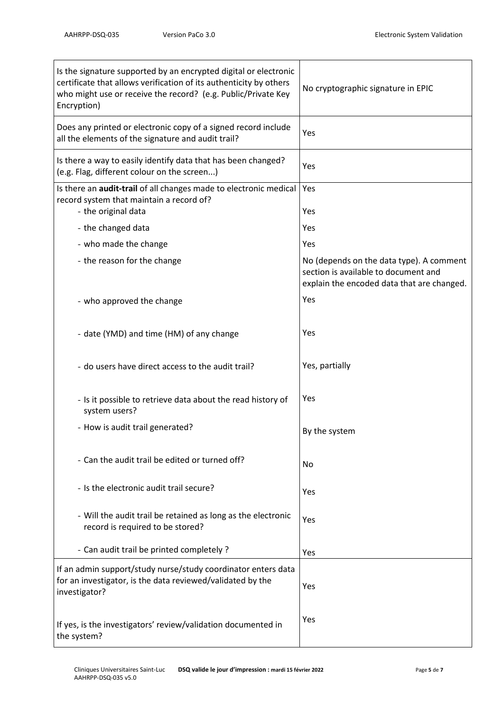| Is the signature supported by an encrypted digital or electronic<br>certificate that allows verification of its authenticity by others<br>who might use or receive the record? (e.g. Public/Private Key<br>Encryption) | No cryptographic signature in EPIC                                                                                             |
|------------------------------------------------------------------------------------------------------------------------------------------------------------------------------------------------------------------------|--------------------------------------------------------------------------------------------------------------------------------|
| Does any printed or electronic copy of a signed record include<br>all the elements of the signature and audit trail?                                                                                                   | Yes                                                                                                                            |
| Is there a way to easily identify data that has been changed?<br>(e.g. Flag, different colour on the screen)                                                                                                           | Yes                                                                                                                            |
| Is there an <b>audit-trail</b> of all changes made to electronic medical<br>record system that maintain a record of?<br>- the original data                                                                            | Yes<br>Yes                                                                                                                     |
| - the changed data                                                                                                                                                                                                     | Yes                                                                                                                            |
| - who made the change                                                                                                                                                                                                  | Yes                                                                                                                            |
| - the reason for the change                                                                                                                                                                                            | No (depends on the data type). A comment<br>section is available to document and<br>explain the encoded data that are changed. |
| - who approved the change                                                                                                                                                                                              | Yes                                                                                                                            |
| - date (YMD) and time (HM) of any change                                                                                                                                                                               | Yes                                                                                                                            |
| - do users have direct access to the audit trail?                                                                                                                                                                      | Yes, partially                                                                                                                 |
| - Is it possible to retrieve data about the read history of<br>system users?                                                                                                                                           | Yes                                                                                                                            |
| - How is audit trail generated?                                                                                                                                                                                        | By the system                                                                                                                  |
| - Can the audit trail be edited or turned off?                                                                                                                                                                         | No                                                                                                                             |
| - Is the electronic audit trail secure?                                                                                                                                                                                | Yes                                                                                                                            |
| - Will the audit trail be retained as long as the electronic<br>record is required to be stored?                                                                                                                       | Yes                                                                                                                            |
| - Can audit trail be printed completely ?                                                                                                                                                                              | Yes                                                                                                                            |
| If an admin support/study nurse/study coordinator enters data<br>for an investigator, is the data reviewed/validated by the<br>investigator?                                                                           | Yes                                                                                                                            |
| If yes, is the investigators' review/validation documented in<br>the system?                                                                                                                                           | Yes                                                                                                                            |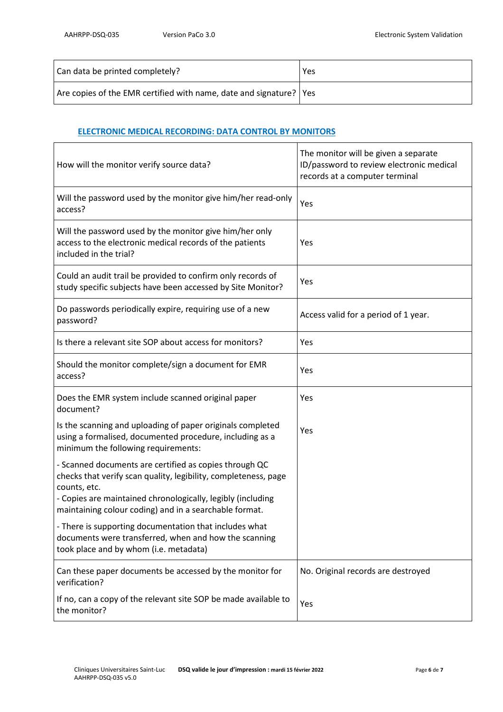| Can data be printed completely?                                      | Yes |
|----------------------------------------------------------------------|-----|
| Are copies of the EMR certified with name, date and signature?   Yes |     |

#### **ELECTRONIC MEDICAL RECORDING: DATA CONTROL BY MONITORS**

| How will the monitor verify source data?                                                                                                                                                                                                                           | The monitor will be given a separate<br>ID/password to review electronic medical<br>records at a computer terminal |
|--------------------------------------------------------------------------------------------------------------------------------------------------------------------------------------------------------------------------------------------------------------------|--------------------------------------------------------------------------------------------------------------------|
| Will the password used by the monitor give him/her read-only<br>access?                                                                                                                                                                                            | Yes                                                                                                                |
| Will the password used by the monitor give him/her only<br>access to the electronic medical records of the patients<br>included in the trial?                                                                                                                      | Yes                                                                                                                |
| Could an audit trail be provided to confirm only records of<br>study specific subjects have been accessed by Site Monitor?                                                                                                                                         | Yes                                                                                                                |
| Do passwords periodically expire, requiring use of a new<br>password?                                                                                                                                                                                              | Access valid for a period of 1 year.                                                                               |
| Is there a relevant site SOP about access for monitors?                                                                                                                                                                                                            | Yes                                                                                                                |
| Should the monitor complete/sign a document for EMR<br>access?                                                                                                                                                                                                     | Yes                                                                                                                |
| Does the EMR system include scanned original paper<br>document?                                                                                                                                                                                                    | Yes                                                                                                                |
| Is the scanning and uploading of paper originals completed<br>using a formalised, documented procedure, including as a<br>minimum the following requirements:                                                                                                      | Yes                                                                                                                |
| - Scanned documents are certified as copies through QC<br>checks that verify scan quality, legibility, completeness, page<br>counts, etc.<br>- Copies are maintained chronologically, legibly (including<br>maintaining colour coding) and in a searchable format. |                                                                                                                    |
| - There is supporting documentation that includes what<br>documents were transferred, when and how the scanning<br>took place and by whom (i.e. metadata)                                                                                                          |                                                                                                                    |
| Can these paper documents be accessed by the monitor for<br>verification?                                                                                                                                                                                          | No. Original records are destroyed                                                                                 |
| If no, can a copy of the relevant site SOP be made available to<br>the monitor?                                                                                                                                                                                    | Yes                                                                                                                |